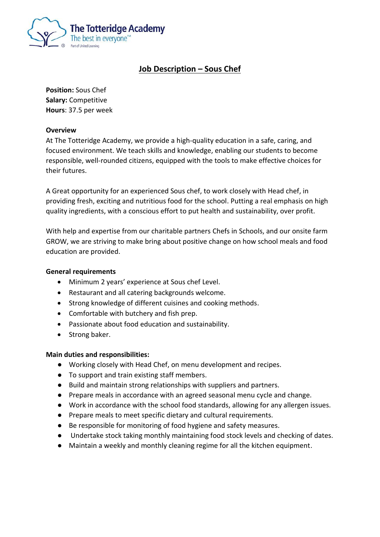

# **Job Description – Sous Chef**

**Position:** Sous Chef **Salary:** Competitive **Hours**: 37.5 per week

# **Overview**

At The Totteridge Academy, we provide a high-quality education in a safe, caring, and focused environment. We teach skills and knowledge, enabling our students to become responsible, well-rounded citizens, equipped with the tools to make effective choices for their futures.

A Great opportunity for an experienced Sous chef, to work closely with Head chef, in providing fresh, exciting and nutritious food for the school. Putting a real emphasis on high quality ingredients, with a conscious effort to put health and sustainability, over profit.

With help and expertise from our charitable partners Chefs in Schools, and our onsite farm GROW, we are striving to make bring about positive change on how school meals and food education are provided.

# **General requirements**

- Minimum 2 years' experience at Sous chef Level.
- Restaurant and all catering backgrounds welcome.
- Strong knowledge of different cuisines and cooking methods.
- Comfortable with butchery and fish prep.
- Passionate about food education and sustainability.
- Strong baker.

### **Main duties and responsibilities:**

- Working closely with Head Chef, on menu development and recipes.
- To support and train existing staff members.
- Build and maintain strong relationships with suppliers and partners.
- Prepare meals in accordance with an agreed seasonal menu cycle and change.
- Work in accordance with the school food standards, allowing for any allergen issues.
- Prepare meals to meet specific dietary and cultural requirements.
- Be responsible for monitoring of food hygiene and safety measures.
- Undertake stock taking monthly maintaining food stock levels and checking of dates.
- Maintain a weekly and monthly cleaning regime for all the kitchen equipment.